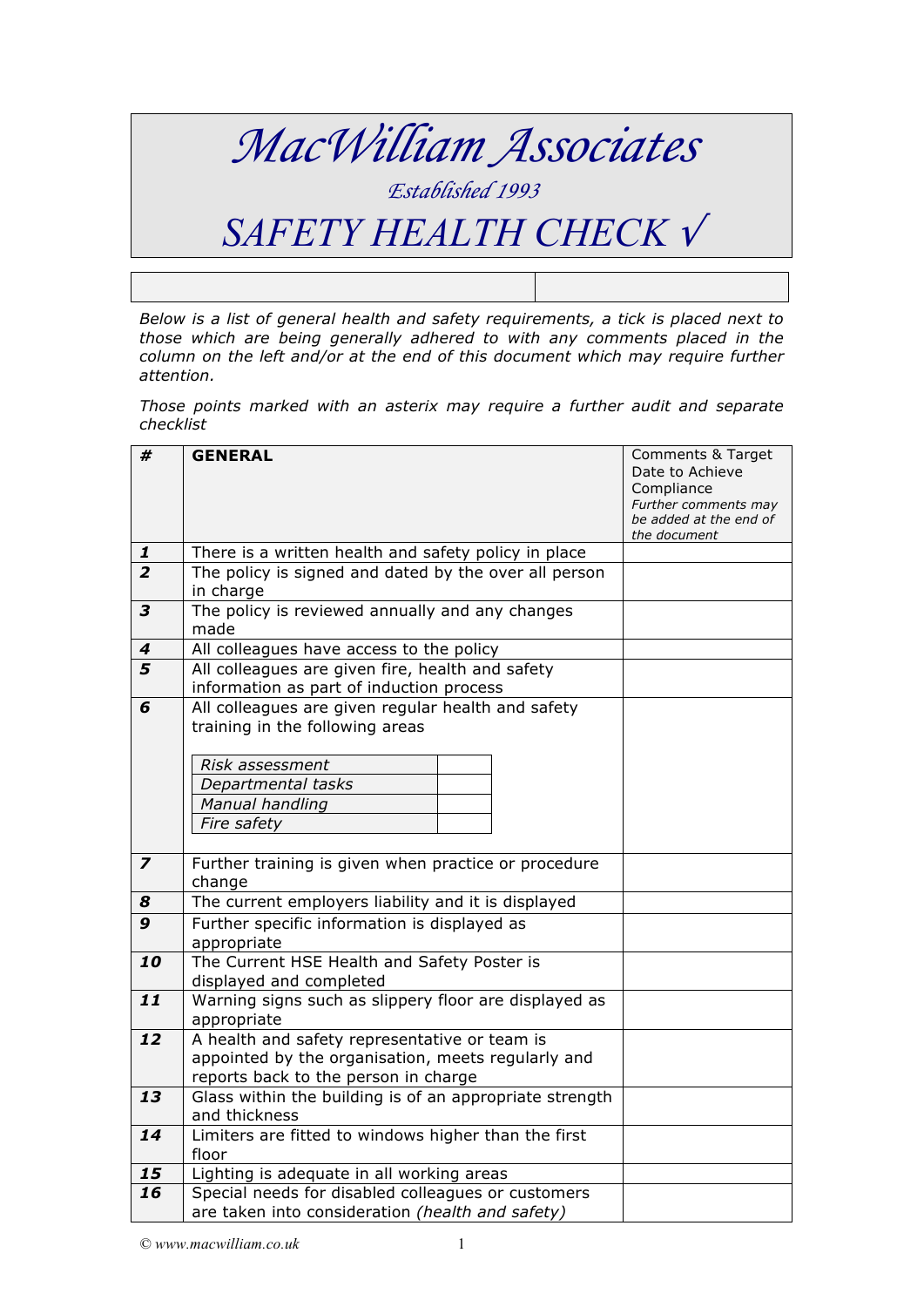

*Below is a list of general health and safety requirements, a tick is placed next to those which are being generally adhered to with any comments placed in the column on the left and/or at the end of this document which may require further attention.* 

*Those points marked with an asterix may require a further audit and separate checklist*

| #                       | <b>GENERAL</b>                                                                                  | Comments & Target                              |
|-------------------------|-------------------------------------------------------------------------------------------------|------------------------------------------------|
|                         |                                                                                                 | Date to Achieve                                |
|                         |                                                                                                 | Compliance                                     |
|                         |                                                                                                 | Further comments may<br>be added at the end of |
|                         |                                                                                                 | the document                                   |
| $\mathbf{1}$            | There is a written health and safety policy in place                                            |                                                |
| $\overline{2}$          | The policy is signed and dated by the over all person                                           |                                                |
|                         | in charge                                                                                       |                                                |
| $\overline{\mathbf{3}}$ | The policy is reviewed annually and any changes                                                 |                                                |
|                         | made                                                                                            |                                                |
| 4                       | All colleagues have access to the policy                                                        |                                                |
| 5                       | All colleagues are given fire, health and safety                                                |                                                |
|                         | information as part of induction process                                                        |                                                |
| 6                       | All colleagues are given regular health and safety                                              |                                                |
|                         | training in the following areas                                                                 |                                                |
|                         |                                                                                                 |                                                |
|                         | Risk assessment                                                                                 |                                                |
|                         | Departmental tasks                                                                              |                                                |
|                         | Manual handling<br>Fire safety                                                                  |                                                |
|                         |                                                                                                 |                                                |
| $\overline{\mathbf{z}}$ | Further training is given when practice or procedure                                            |                                                |
|                         | change                                                                                          |                                                |
| 8                       | The current employers liability and it is displayed                                             |                                                |
| 9                       | Further specific information is displayed as                                                    |                                                |
|                         | appropriate                                                                                     |                                                |
| 10                      | The Current HSE Health and Safety Poster is                                                     |                                                |
|                         | displayed and completed                                                                         |                                                |
| 11                      | Warning signs such as slippery floor are displayed as                                           |                                                |
|                         | appropriate                                                                                     |                                                |
| 12                      | A health and safety representative or team is                                                   |                                                |
|                         | appointed by the organisation, meets regularly and                                              |                                                |
| $\overline{13}$         | reports back to the person in charge<br>Glass within the building is of an appropriate strength |                                                |
|                         | and thickness                                                                                   |                                                |
| 14                      | Limiters are fitted to windows higher than the first                                            |                                                |
|                         | floor                                                                                           |                                                |
| 15                      | Lighting is adequate in all working areas                                                       |                                                |
| 16                      | Special needs for disabled colleagues or customers                                              |                                                |
|                         | are taken into consideration (health and safety)                                                |                                                |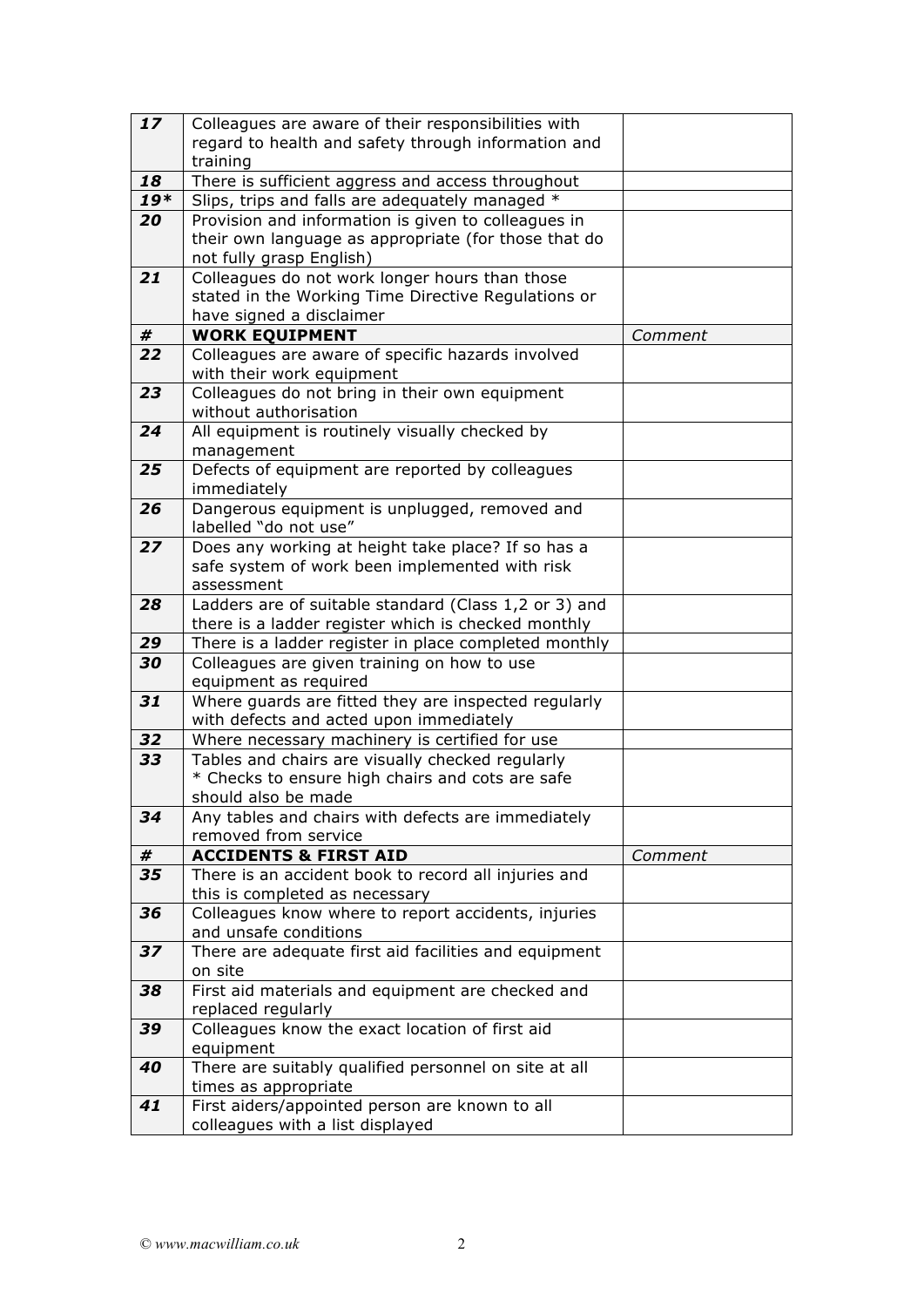| 17       | Colleagues are aware of their responsibilities with                                                  |         |
|----------|------------------------------------------------------------------------------------------------------|---------|
|          | regard to health and safety through information and                                                  |         |
|          | training                                                                                             |         |
| 18       | There is sufficient aggress and access throughout                                                    |         |
| $19*$    | Slips, trips and falls are adequately managed *                                                      |         |
| 20       | Provision and information is given to colleagues in                                                  |         |
|          | their own language as appropriate (for those that do                                                 |         |
|          | not fully grasp English)                                                                             |         |
| 21       | Colleagues do not work longer hours than those                                                       |         |
|          | stated in the Working Time Directive Regulations or                                                  |         |
|          | have signed a disclaimer                                                                             |         |
| #<br>22  | <b>WORK EQUIPMENT</b><br>Colleagues are aware of specific hazards involved                           | Comment |
|          | with their work equipment                                                                            |         |
| 23       | Colleagues do not bring in their own equipment                                                       |         |
|          | without authorisation                                                                                |         |
| 24       | All equipment is routinely visually checked by                                                       |         |
|          | management                                                                                           |         |
| 25       | Defects of equipment are reported by colleagues                                                      |         |
|          | immediately                                                                                          |         |
| 26       | Dangerous equipment is unplugged, removed and                                                        |         |
|          | labelled "do not use"                                                                                |         |
| 27       | Does any working at height take place? If so has a                                                   |         |
|          | safe system of work been implemented with risk                                                       |         |
|          | assessment                                                                                           |         |
| 28       | Ladders are of suitable standard (Class 1,2 or 3) and                                                |         |
|          | there is a ladder register which is checked monthly                                                  |         |
| 29<br>30 | There is a ladder register in place completed monthly<br>Colleagues are given training on how to use |         |
|          | equipment as required                                                                                |         |
| 31       | Where guards are fitted they are inspected regularly                                                 |         |
|          | with defects and acted upon immediately                                                              |         |
| 32       | Where necessary machinery is certified for use                                                       |         |
| 33       | Tables and chairs are visually checked regularly                                                     |         |
|          | * Checks to ensure high chairs and cots are safe                                                     |         |
|          | should also be made                                                                                  |         |
| 34       | Any tables and chairs with defects are immediately                                                   |         |
|          | removed from service                                                                                 |         |
| #        | <b>ACCIDENTS &amp; FIRST AID</b>                                                                     | Comment |
| 35       | There is an accident book to record all injuries and                                                 |         |
|          | this is completed as necessary                                                                       |         |
| 36       | Colleagues know where to report accidents, injuries                                                  |         |
| 37       | and unsafe conditions<br>There are adequate first aid facilities and equipment                       |         |
|          | on site                                                                                              |         |
| 38       | First aid materials and equipment are checked and                                                    |         |
|          | replaced regularly                                                                                   |         |
| 39       | Colleagues know the exact location of first aid                                                      |         |
|          | equipment                                                                                            |         |
| 40       | There are suitably qualified personnel on site at all                                                |         |
|          | times as appropriate                                                                                 |         |
| 41       | First aiders/appointed person are known to all                                                       |         |
|          | colleagues with a list displayed                                                                     |         |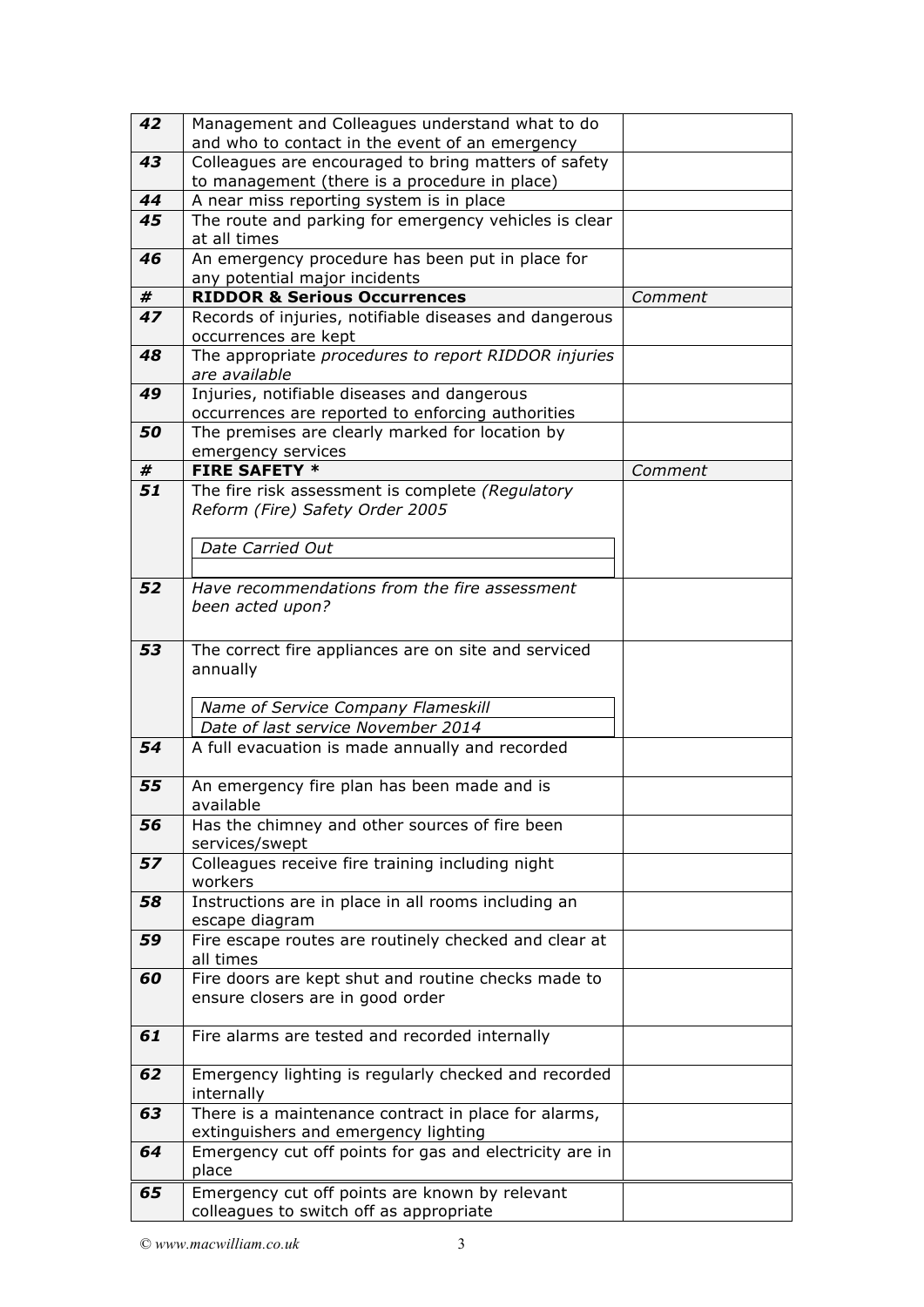| 42 | Management and Colleagues understand what to do<br>and who to contact in the event of an emergency |         |
|----|----------------------------------------------------------------------------------------------------|---------|
| 43 | Colleagues are encouraged to bring matters of safety                                               |         |
|    | to management (there is a procedure in place)                                                      |         |
| 44 | A near miss reporting system is in place                                                           |         |
| 45 | The route and parking for emergency vehicles is clear                                              |         |
|    | at all times                                                                                       |         |
| 46 | An emergency procedure has been put in place for                                                   |         |
|    | any potential major incidents                                                                      |         |
| #  | <b>RIDDOR &amp; Serious Occurrences</b>                                                            | Comment |
| 47 | Records of injuries, notifiable diseases and dangerous<br>occurrences are kept                     |         |
| 48 | The appropriate procedures to report RIDDOR injuries<br>are available                              |         |
| 49 | Injuries, notifiable diseases and dangerous                                                        |         |
|    | occurrences are reported to enforcing authorities                                                  |         |
| 50 | The premises are clearly marked for location by                                                    |         |
|    | emergency services                                                                                 |         |
| #  | <b>FIRE SAFETY *</b>                                                                               | Comment |
| 51 | The fire risk assessment is complete (Regulatory                                                   |         |
|    | Reform (Fire) Safety Order 2005                                                                    |         |
|    |                                                                                                    |         |
|    | Date Carried Out                                                                                   |         |
|    |                                                                                                    |         |
| 52 | Have recommendations from the fire assessment                                                      |         |
|    | been acted upon?                                                                                   |         |
|    |                                                                                                    |         |
| 53 | The correct fire appliances are on site and serviced                                               |         |
|    | annually                                                                                           |         |
|    |                                                                                                    |         |
|    | Name of Service Company Flameskill                                                                 |         |
|    | Date of last service November 2014                                                                 |         |
| 54 | A full evacuation is made annually and recorded                                                    |         |
|    |                                                                                                    |         |
| 55 | An emergency fire plan has been made and is                                                        |         |
| 56 | available                                                                                          |         |
|    | Has the chimney and other sources of fire been<br>services/swept                                   |         |
| 57 | Colleagues receive fire training including night                                                   |         |
|    | workers                                                                                            |         |
| 58 | Instructions are in place in all rooms including an                                                |         |
|    | escape diagram                                                                                     |         |
| 59 | Fire escape routes are routinely checked and clear at                                              |         |
|    | all times                                                                                          |         |
| 60 | Fire doors are kept shut and routine checks made to                                                |         |
|    | ensure closers are in good order                                                                   |         |
|    |                                                                                                    |         |
| 61 | Fire alarms are tested and recorded internally                                                     |         |
| 62 | Emergency lighting is regularly checked and recorded                                               |         |
|    | internally                                                                                         |         |
| 63 | There is a maintenance contract in place for alarms,                                               |         |
|    | extinguishers and emergency lighting                                                               |         |
| 64 | Emergency cut off points for gas and electricity are in<br>place                                   |         |
| 65 | Emergency cut off points are known by relevant                                                     |         |
|    | colleagues to switch off as appropriate                                                            |         |
|    |                                                                                                    |         |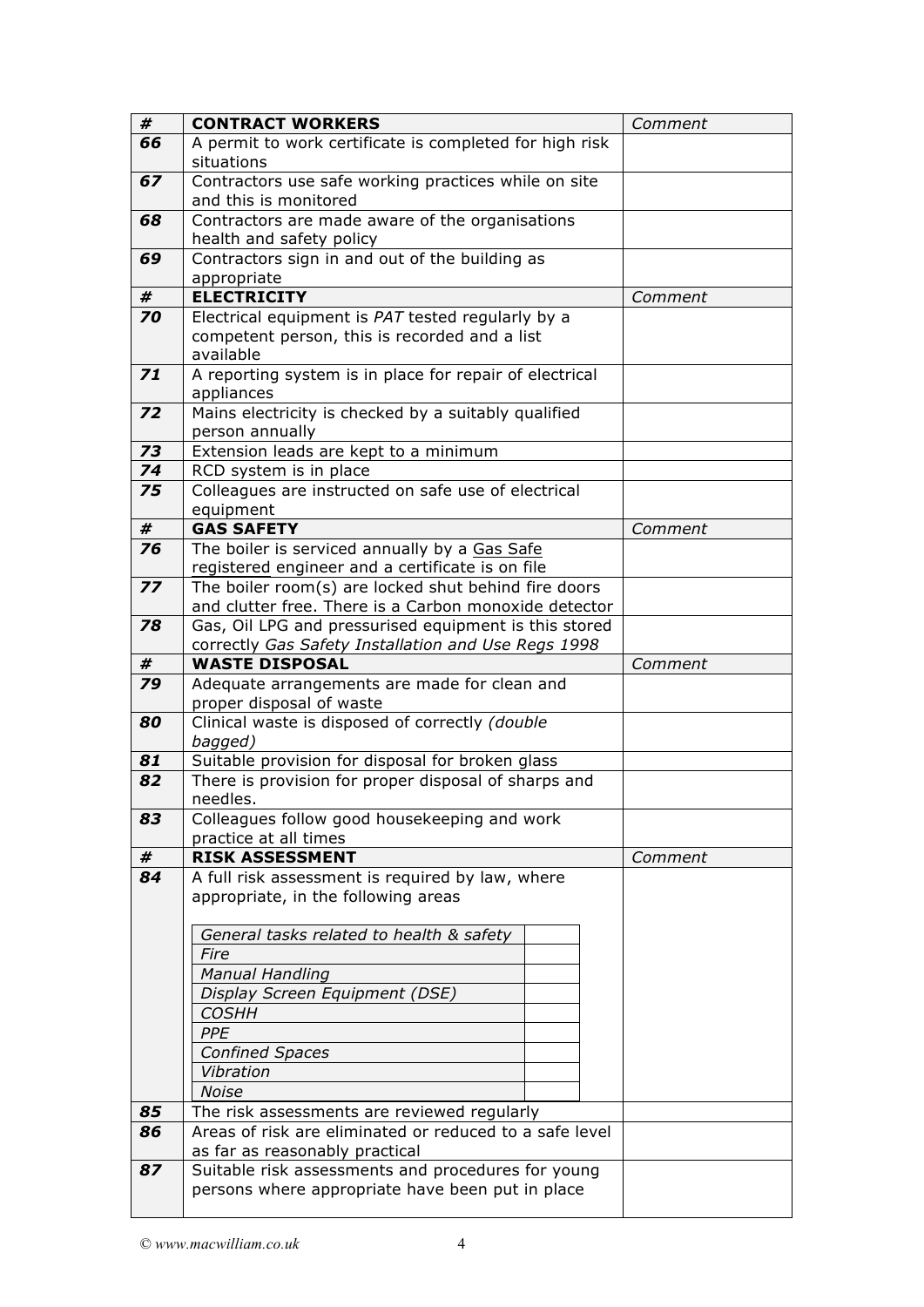| #  | <b>CONTRACT WORKERS</b>                                                       |  |  | Comment |
|----|-------------------------------------------------------------------------------|--|--|---------|
| 66 | A permit to work certificate is completed for high risk                       |  |  |         |
|    | situations                                                                    |  |  |         |
| 67 | Contractors use safe working practices while on site<br>and this is monitored |  |  |         |
|    |                                                                               |  |  |         |
| 68 | Contractors are made aware of the organisations<br>health and safety policy   |  |  |         |
|    |                                                                               |  |  |         |
| 69 | Contractors sign in and out of the building as                                |  |  |         |
|    | appropriate                                                                   |  |  |         |
| #  | <b>ELECTRICITY</b>                                                            |  |  | Comment |
| 70 | Electrical equipment is PAT tested regularly by a                             |  |  |         |
|    | competent person, this is recorded and a list                                 |  |  |         |
|    | available                                                                     |  |  |         |
| 71 | A reporting system is in place for repair of electrical                       |  |  |         |
|    | appliances                                                                    |  |  |         |
| 72 | Mains electricity is checked by a suitably qualified                          |  |  |         |
|    | person annually                                                               |  |  |         |
| 73 | Extension leads are kept to a minimum                                         |  |  |         |
| 74 | RCD system is in place                                                        |  |  |         |
| 75 | Colleagues are instructed on safe use of electrical                           |  |  |         |
|    | equipment                                                                     |  |  |         |
| #  | <b>GAS SAFETY</b>                                                             |  |  | Comment |
| 76 | The boiler is serviced annually by a Gas Safe                                 |  |  |         |
|    | registered engineer and a certificate is on file                              |  |  |         |
| 77 | The boiler room(s) are locked shut behind fire doors                          |  |  |         |
|    | and clutter free. There is a Carbon monoxide detector                         |  |  |         |
| 78 | Gas, Oil LPG and pressurised equipment is this stored                         |  |  |         |
|    | correctly Gas Safety Installation and Use Regs 1998                           |  |  |         |
| #  | <b>WASTE DISPOSAL</b>                                                         |  |  | Comment |
| 79 | Adequate arrangements are made for clean and<br>proper disposal of waste      |  |  |         |
| 80 | Clinical waste is disposed of correctly (double                               |  |  |         |
|    | bagged)                                                                       |  |  |         |
| 81 | Suitable provision for disposal for broken glass                              |  |  |         |
| 82 | There is provision for proper disposal of sharps and                          |  |  |         |
|    | needles.                                                                      |  |  |         |
| 83 | Colleagues follow good housekeeping and work                                  |  |  |         |
|    | practice at all times                                                         |  |  |         |
| #  | <b>RISK ASSESSMENT</b>                                                        |  |  | Comment |
| 84 | A full risk assessment is required by law, where                              |  |  |         |
|    | appropriate, in the following areas                                           |  |  |         |
|    |                                                                               |  |  |         |
|    | General tasks related to health & safety                                      |  |  |         |
|    | Fire                                                                          |  |  |         |
|    | <b>Manual Handling</b>                                                        |  |  |         |
|    | Display Screen Equipment (DSE)                                                |  |  |         |
|    | <b>COSHH</b>                                                                  |  |  |         |
|    | PPE                                                                           |  |  |         |
|    | <b>Confined Spaces</b>                                                        |  |  |         |
|    | Vibration                                                                     |  |  |         |
|    | Noise                                                                         |  |  |         |
| 85 | The risk assessments are reviewed regularly                                   |  |  |         |
| 86 | Areas of risk are eliminated or reduced to a safe level                       |  |  |         |
|    | as far as reasonably practical                                                |  |  |         |
| 87 | Suitable risk assessments and procedures for young                            |  |  |         |
|    | persons where appropriate have been put in place                              |  |  |         |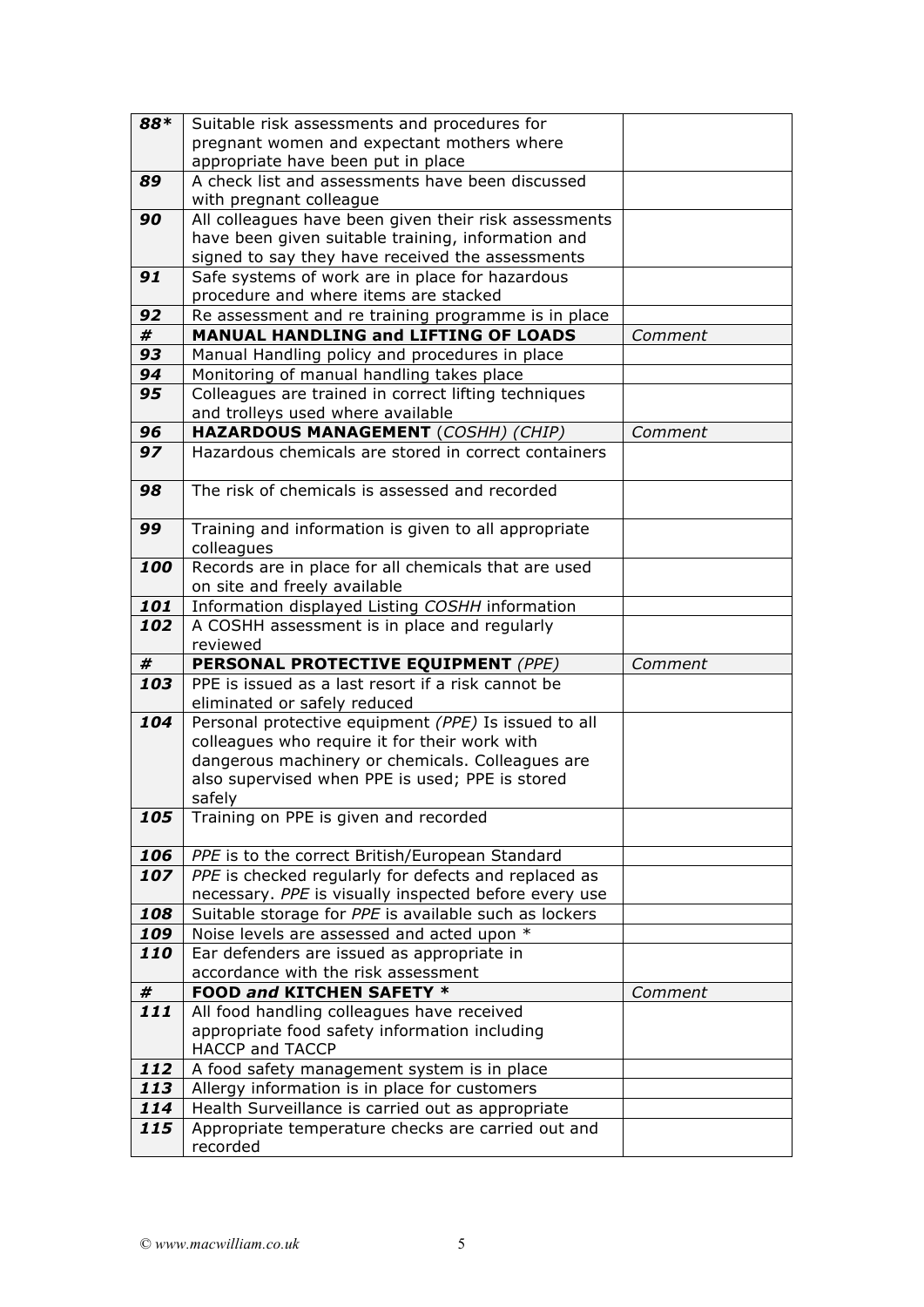| 88* | Suitable risk assessments and procedures for                   |         |
|-----|----------------------------------------------------------------|---------|
|     | pregnant women and expectant mothers where                     |         |
|     | appropriate have been put in place                             |         |
| 89  | A check list and assessments have been discussed               |         |
|     | with pregnant colleague                                        |         |
| 90  | All colleagues have been given their risk assessments          |         |
|     | have been given suitable training, information and             |         |
|     | signed to say they have received the assessments               |         |
| 91  | Safe systems of work are in place for hazardous                |         |
|     | procedure and where items are stacked                          |         |
| 92  | Re assessment and re training programme is in place            |         |
| #   | <b>MANUAL HANDLING and LIFTING OF LOADS</b>                    |         |
|     |                                                                | Comment |
| 93  | Manual Handling policy and procedures in place                 |         |
| 94  | Monitoring of manual handling takes place                      |         |
| 95  | Colleagues are trained in correct lifting techniques           |         |
|     | and trolleys used where available                              |         |
| 96  | HAZARDOUS MANAGEMENT (COSHH) (CHIP)                            | Comment |
| 97  | Hazardous chemicals are stored in correct containers           |         |
|     |                                                                |         |
| 98  | The risk of chemicals is assessed and recorded                 |         |
|     |                                                                |         |
| 99  | Training and information is given to all appropriate           |         |
|     | colleagues                                                     |         |
| 100 | Records are in place for all chemicals that are used           |         |
|     | on site and freely available                                   |         |
|     |                                                                |         |
| 101 | Information displayed Listing COSHH information                |         |
| 102 | A COSHH assessment is in place and regularly                   |         |
|     | reviewed                                                       |         |
| #   | PERSONAL PROTECTIVE EQUIPMENT (PPE)                            | Comment |
| 103 | PPE is issued as a last resort if a risk cannot be             |         |
|     | eliminated or safely reduced                                   |         |
| 104 | Personal protective equipment (PPE) Is issued to all           |         |
|     | colleagues who require it for their work with                  |         |
|     | dangerous machinery or chemicals. Colleagues are               |         |
|     | also supervised when PPE is used; PPE is stored                |         |
|     | safely                                                         |         |
| 105 | Training on PPE is given and recorded                          |         |
|     |                                                                |         |
| 106 | PPE is to the correct British/European Standard                |         |
| 107 | PPE is checked regularly for defects and replaced as           |         |
|     | necessary. PPE is visually inspected before every use          |         |
| 108 | Suitable storage for PPE is available such as lockers          |         |
|     |                                                                |         |
| 109 | Noise levels are assessed and acted upon *                     |         |
| 110 | Ear defenders are issued as appropriate in                     |         |
|     | accordance with the risk assessment                            |         |
| #   | FOOD and KITCHEN SAFETY *                                      | Comment |
| 111 | All food handling colleagues have received                     |         |
|     | appropriate food safety information including                  |         |
|     | <b>HACCP and TACCP</b>                                         |         |
| 112 | A food safety management system is in place                    |         |
| 113 | Allergy information is in place for customers                  |         |
| 114 | Health Surveillance is carried out as appropriate              |         |
| 115 |                                                                |         |
|     |                                                                |         |
|     | Appropriate temperature checks are carried out and<br>recorded |         |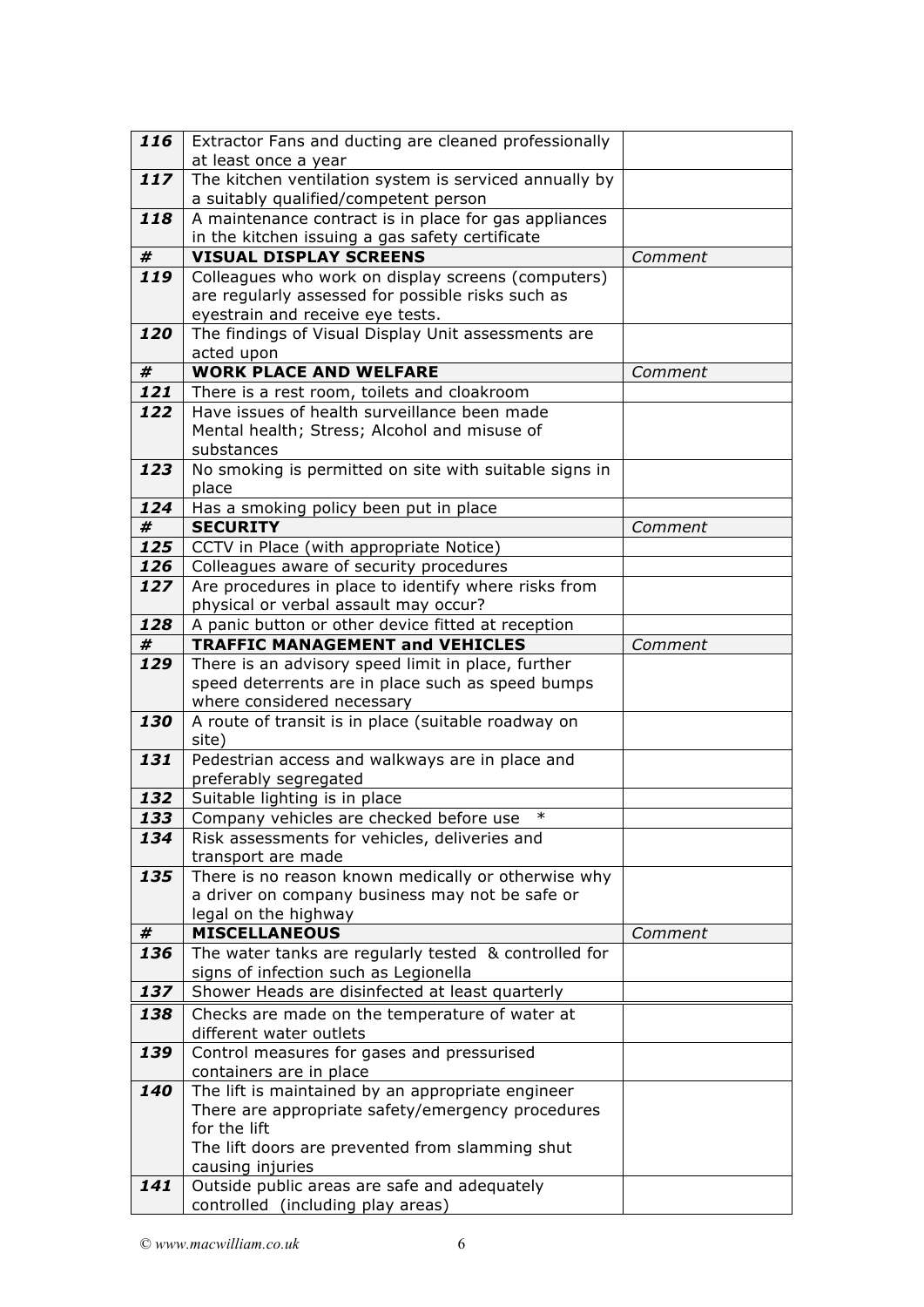| 116      | Extractor Fans and ducting are cleaned professionally<br>at least once a year                   |         |
|----------|-------------------------------------------------------------------------------------------------|---------|
|          |                                                                                                 |         |
| 117      | The kitchen ventilation system is serviced annually by<br>a suitably qualified/competent person |         |
| 118      | A maintenance contract is in place for gas appliances                                           |         |
|          | in the kitchen issuing a gas safety certificate                                                 |         |
| #        | <b>VISUAL DISPLAY SCREENS</b>                                                                   | Comment |
| 119      | Colleagues who work on display screens (computers)                                              |         |
|          | are regularly assessed for possible risks such as                                               |         |
|          |                                                                                                 |         |
|          | eyestrain and receive eye tests.                                                                |         |
| 120      | The findings of Visual Display Unit assessments are                                             |         |
|          | acted upon                                                                                      |         |
| #        | <b>WORK PLACE AND WELFARE</b>                                                                   | Comment |
| 121      | There is a rest room, toilets and cloakroom                                                     |         |
| 122      | Have issues of health surveillance been made                                                    |         |
|          | Mental health; Stress; Alcohol and misuse of                                                    |         |
|          | substances                                                                                      |         |
| 123      | No smoking is permitted on site with suitable signs in                                          |         |
|          | place                                                                                           |         |
| 124      | Has a smoking policy been put in place                                                          |         |
| #        | <b>SECURITY</b>                                                                                 | Comment |
| 125      | CCTV in Place (with appropriate Notice)                                                         |         |
| 126      | Colleagues aware of security procedures                                                         |         |
| 127      | Are procedures in place to identify where risks from                                            |         |
|          | physical or verbal assault may occur?                                                           |         |
| 128      | A panic button or other device fitted at reception                                              |         |
| #        | <b>TRAFFIC MANAGEMENT and VEHICLES</b>                                                          | Comment |
| 129      | There is an advisory speed limit in place, further                                              |         |
|          | speed deterrents are in place such as speed bumps                                               |         |
|          | where considered necessary                                                                      |         |
| 130      | A route of transit is in place (suitable roadway on                                             |         |
|          | site)                                                                                           |         |
| 131      | Pedestrian access and walkways are in place and                                                 |         |
|          | preferably segregated                                                                           |         |
| 132      | Suitable lighting is in place                                                                   |         |
| 133      | $\ast$<br>Company vehicles are checked before use                                               |         |
| 134      | Risk assessments for vehicles, deliveries and                                                   |         |
|          | transport are made                                                                              |         |
| 135      | There is no reason known medically or otherwise why                                             |         |
|          |                                                                                                 |         |
|          | a driver on company business may not be safe or<br>legal on the highway                         |         |
|          | <b>MISCELLANEOUS</b>                                                                            | Comment |
| #<br>136 |                                                                                                 |         |
|          | The water tanks are regularly tested & controlled for<br>signs of infection such as Legionella  |         |
| 137      | Shower Heads are disinfected at least quarterly                                                 |         |
|          |                                                                                                 |         |
| 138      | Checks are made on the temperature of water at                                                  |         |
|          | different water outlets                                                                         |         |
| 139      | Control measures for gases and pressurised                                                      |         |
|          | containers are in place                                                                         |         |
| 140      | The lift is maintained by an appropriate engineer                                               |         |
|          | There are appropriate safety/emergency procedures                                               |         |
|          | for the lift                                                                                    |         |
|          | The lift doors are prevented from slamming shut                                                 |         |
|          | causing injuries                                                                                |         |
| 141      | Outside public areas are safe and adequately                                                    |         |
|          | controlled (including play areas)                                                               |         |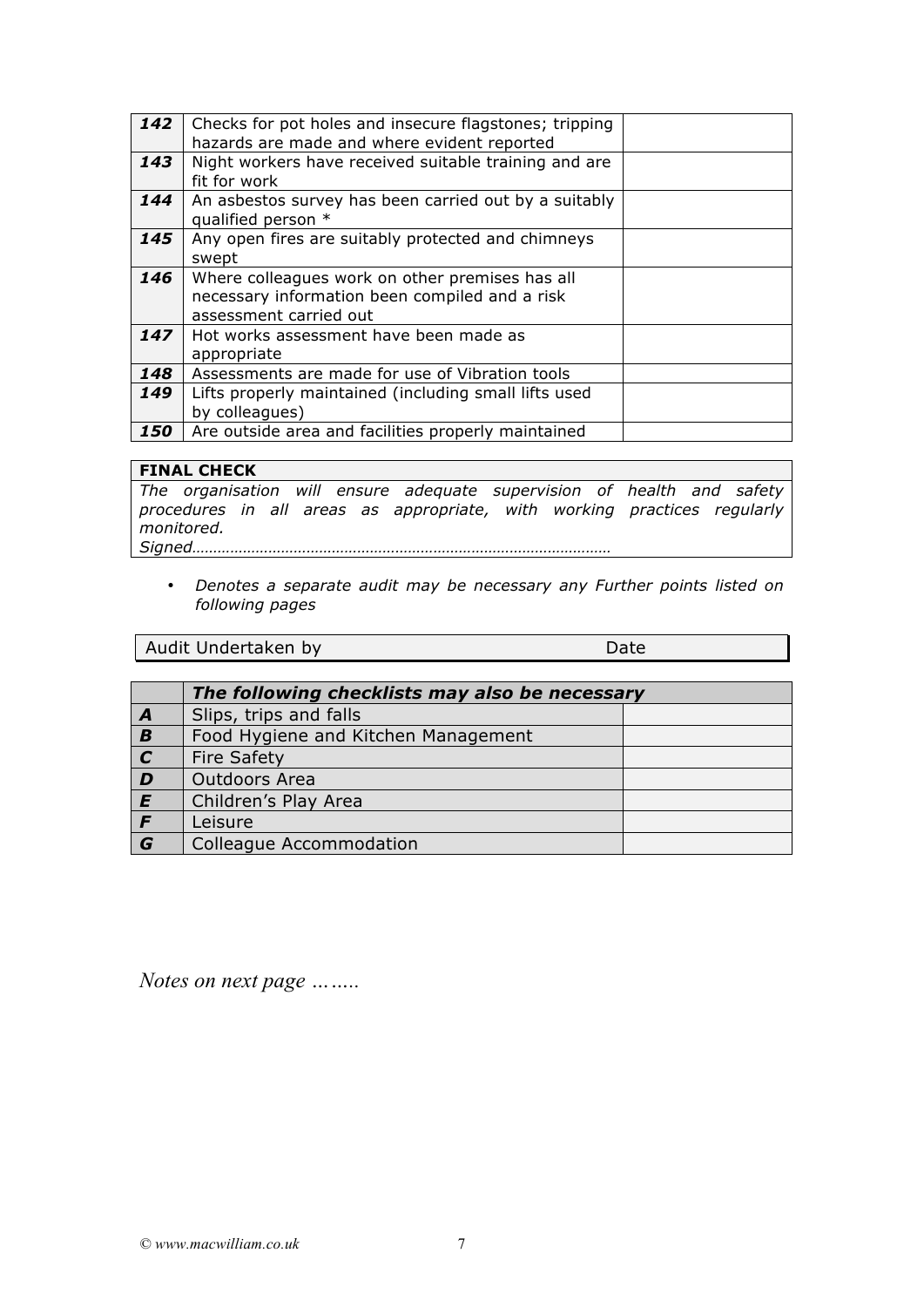| 142 | Checks for pot holes and insecure flagstones; tripping<br>hazards are made and where evident reported                       |  |
|-----|-----------------------------------------------------------------------------------------------------------------------------|--|
| 143 | Night workers have received suitable training and are<br>fit for work                                                       |  |
| 144 | An asbestos survey has been carried out by a suitably<br>qualified person *                                                 |  |
| 145 | Any open fires are suitably protected and chimneys<br>swept                                                                 |  |
| 146 | Where colleagues work on other premises has all<br>necessary information been compiled and a risk<br>assessment carried out |  |
| 147 | Hot works assessment have been made as<br>appropriate                                                                       |  |
| 148 | Assessments are made for use of Vibration tools                                                                             |  |
| 149 | Lifts properly maintained (including small lifts used<br>by colleagues)                                                     |  |
| 150 | Are outside area and facilities properly maintained                                                                         |  |

## **FINAL CHECK**

*The organisation will ensure adequate supervision of health and safety procedures in all areas as appropriate, with working practices regularly monitored.* 

- *Signed………………………………………………………………………………………* 
	- *Denotes a separate audit may be necessary any Further points listed on following pages*

Audit Undertaken by Date **Date Date Date** 

|                | The following checklists may also be necessary |  |
|----------------|------------------------------------------------|--|
| $\overline{A}$ | Slips, trips and falls                         |  |
| $\overline{B}$ | Food Hygiene and Kitchen Management            |  |
| $\overline{c}$ | <b>Fire Safety</b>                             |  |
| $\overline{D}$ | Outdoors Area                                  |  |
| E              | Children's Play Area                           |  |
| F              | Leisure                                        |  |
| $\overline{G}$ | Colleague Accommodation                        |  |

*Notes on next page ……..*